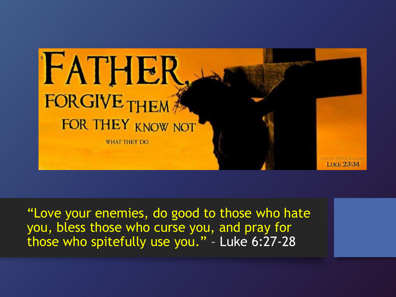

"Love your enemies, do good to those who hate you, bless those who curse you, and pray for those who spitefully use you." – Luke 6:27-28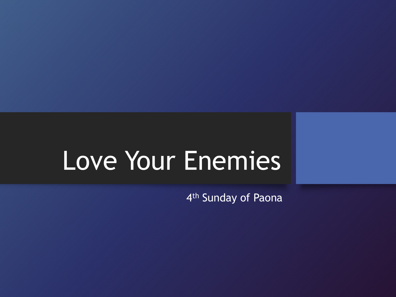# Love Your Enemies

4<sup>th</sup> Sunday of Paona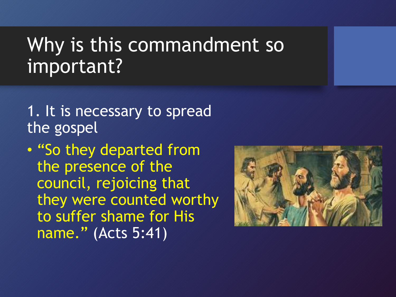### Why is this commandment so important?

1. It is necessary to spread the gospel

• "So they departed from the presence of the council, rejoicing that they were counted worthy to suffer shame for His name." (Acts 5:41)

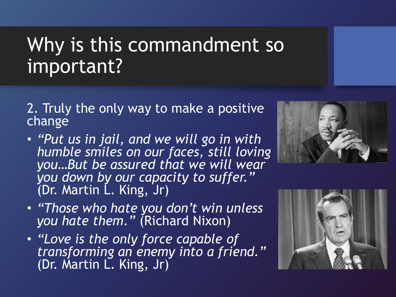### Why is this commandment so important?

2. Truly the only way to make a positive change

- *"Put us in jail, and we will go in with humble smiles on our faces, still loving you…But be assured that we will wear you down by our capacity to suffer."*  (Dr. Martin L. King, Jr)
- *"Those who hate you don't win unless you hate them."* (Richard Nixon)
- *"Love is the only force capable of transforming an enemy into a friend."*  (Dr. Martin L. King, Jr)



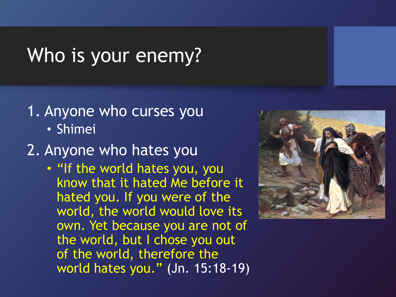### Who is your enemy?

- 1. Anyone who curses you
	- Shimei

#### 2. Anyone who hates you

• "If the world hates you, you know that it hated Me before it hated you. If you were of the world, the world would love its own. Yet because you are not of the world, but I chose you out of the world, therefore the world hates you." (Jn. 15:18-19)

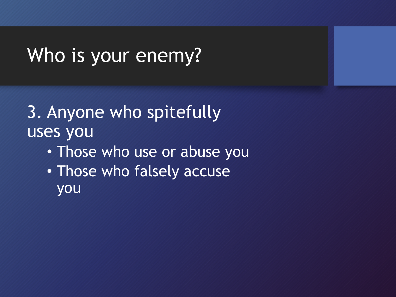### Who is your enemy?

#### 3. Anyone who spitefully uses you

- Those who use or abuse you
- Those who falsely accuse you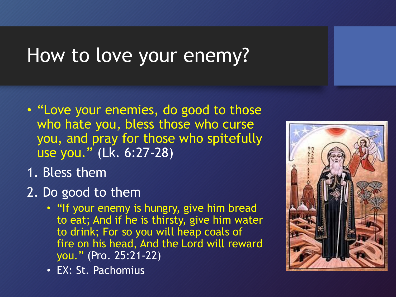### How to love your enemy?

- "Love your enemies, do good to those who hate you, bless those who curse you, and pray for those who spitefully use you." (Lk. 6:27-28)
- 1. Bless them
- 2. Do good to them
	- "If your enemy is hungry, give him bread to eat; And if he is thirsty, give him water to drink; For so you will heap coals of fire on his head, And the Lord will reward you." (Pro. 25:21-22)
	- EX: St. Pachomius

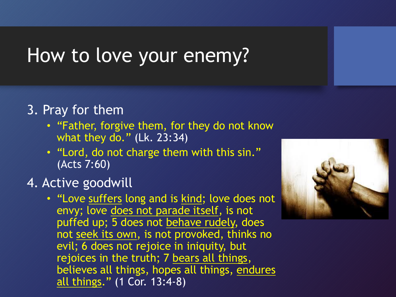#### How to love your enemy?

#### 3. Pray for them

- "Father, forgive them, for they do not know what they do." (Lk. 23:34)
- "Lord, do not charge them with this sin." (Acts 7:60)
- 4. Active goodwill
	- "Love suffers long and is kind; love does not envy; love does not parade itself, is not puffed up; 5 does not behave rudely, does not seek its own, is not provoked, thinks no evil; 6 does not rejoice in iniquity, but rejoices in the truth; 7 bears all things, believes all things, hopes all things, endures all things." (1 Cor. 13:4-8)